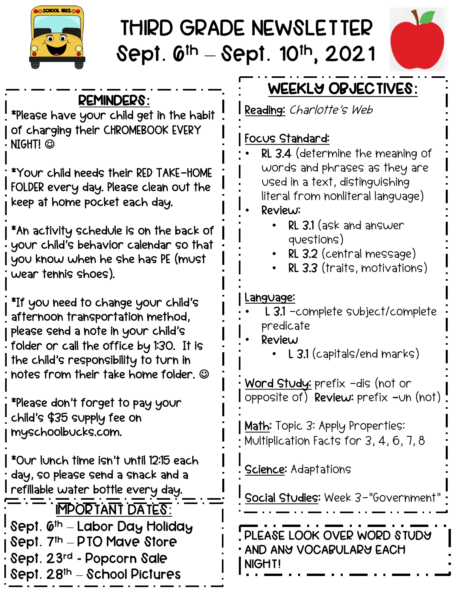

## THIRD GRADE NEWSLETTER Sept.  $6^{\text{th}} -$  Sept. 10<sup>th</sup>, 2021



## REMINDERS: \*Please have your child get in the habit of charging their CHROMEBOOK EVERY NIGHT! © \*Your child needs their RED TAKE-HOME FOLDER every day. Please clean out the keep at home pocket each day. \*An activity schedule is on the back of your child's behavior calendar so that you know when he she has PE (must wear tennis shoes). \*If you need to change your child's afternoon transportation method, please send a note in your child's folder or call the office by 1:30. It is the child's responsibility to turn in notes from their take home folder.  $\odot$ \*Please don't forget to pay your child's \$35 supply fee on myschoolbucks.com. \*Our lunch time isn't until 12:15 each day, so please send a snack and a refillable water bottle every day. IMPORTANT DATES: Sept. 6<sup>th</sup> – Labor Day Holiday Sept. 7<sup>th</sup> – PTO Mave Store Sept. 23rd - Popcorn Sale Sept.  $28<sup>th</sup> -$  School Pictures PLEASE LOOK OVER WORD STUDY AND ANY VOCABULARY EACH NIGHT! WEEKLY OBJECTIVES: Reading: Charlotte's Web Focus Standard: • RL 3.4 (determine the meaning of words and phrases as they are used in a text, distinguishing literal from nonliteral language) • Review: • RL 3.1 (ask and answer questions) • RL 3.2 (central message) • RL 3.3 (traits, motivations) Language: • L 3.1 -complete subject/complete predicate • Review • L 3.1 (capitals/end marks) Word Study: prefix -dis (not or opposite of) Review: prefix -un (not) Math: Topic 3: Apply Properties: Multiplication Facts for 3, 4, 6, 7, 8 Science: Adaptations Social Studies: Week 3-"Government"